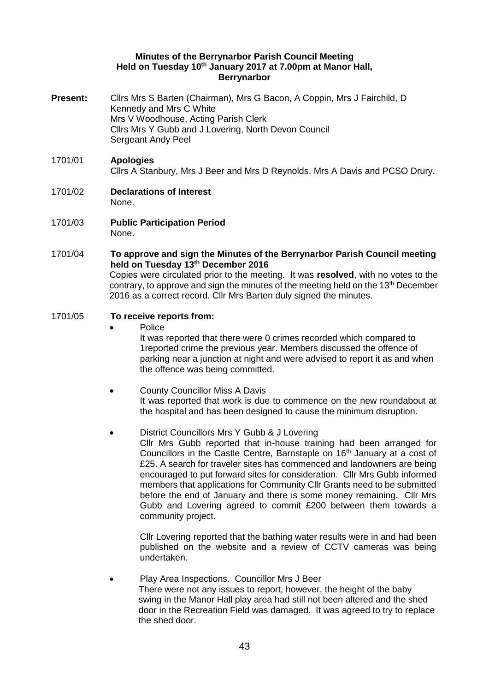## **Minutes of the Berrynarbor Parish Council Meeting Held on Tuesday 10th January 2017 at 7.00pm at Manor Hall, Berrynarbor**

- **Present:** Cllrs Mrs S Barten (Chairman), Mrs G Bacon, A Coppin, Mrs J Fairchild, D Kennedy and Mrs C White Mrs V Woodhouse, Acting Parish Clerk Cllrs Mrs Y Gubb and J Lovering, North Devon Council Sergeant Andy Peel
- 1701/01 **Apologies**  Cllrs A Stanbury, Mrs J Beer and Mrs D Reynolds. Mrs A Davis and PCSO Drury.
- 1701/02 **Declarations of Interest**  None.
- 1701/03 **Public Participation Period**  None.
- 1701/04 **To approve and sign the Minutes of the Berrynarbor Parish Council meeting held on Tuesday 13th December 2016** Copies were circulated prior to the meeting. It was **resolved**, with no votes to the contrary, to approve and sign the minutes of the meeting held on the 13<sup>th</sup> December 2016 as a correct record. Cllr Mrs Barten duly signed the minutes.

# 1701/05 **To receive reports from:**

Police

It was reported that there were 0 crimes recorded which compared to 1reported crime the previous year. Members discussed the offence of parking near a junction at night and were advised to report it as and when the offence was being committed.

- County Councillor Miss A Davis It was reported that work is due to commence on the new roundabout at the hospital and has been designed to cause the minimum disruption.
	- District Councillors Mrs Y Gubb & J Lovering Cllr Mrs Gubb reported that in-house training had been arranged for Councillors in the Castle Centre, Barnstaple on 16<sup>th</sup> January at a cost of £25. A search for traveler sites has commenced and landowners are being encouraged to put forward sites for consideration. Cllr Mrs Gubb informed members that applications for Community Cllr Grants need to be submitted before the end of January and there is some money remaining. Cllr Mrs Gubb and Lovering agreed to commit £200 between them towards a community project.

Cllr Lovering reported that the bathing water results were in and had been published on the website and a review of CCTV cameras was being undertaken.

 Play Area Inspections. Councillor Mrs J Beer There were not any issues to report, however, the height of the baby swing in the Manor Hall play area had still not been altered and the shed door in the Recreation Field was damaged. It was agreed to try to replace the shed door.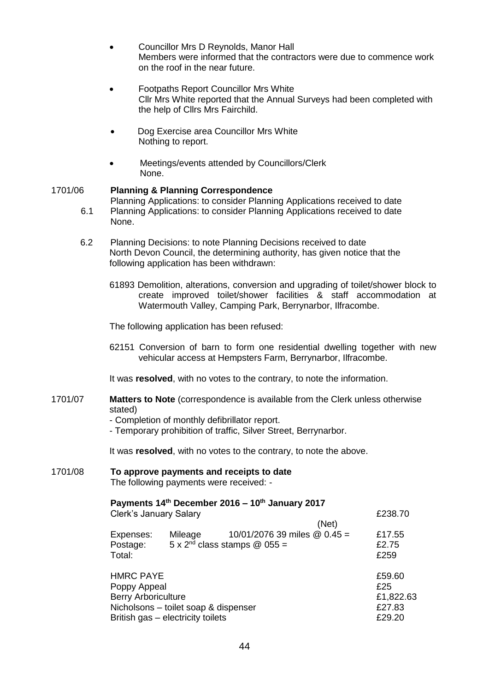- Councillor Mrs D Reynolds, Manor Hall Members were informed that the contractors were due to commence work on the roof in the near future.
- Footpaths Report Councillor Mrs White Cllr Mrs White reported that the Annual Surveys had been completed with the help of Cllrs Mrs Fairchild.
- Dog Exercise area Councillor Mrs White Nothing to report.
- Meetings/events attended by Councillors/Clerk None.

# 1701/06 **Planning & Planning Correspondence**

Planning Applications: to consider Planning Applications received to date

- 6.1 Planning Applications: to consider Planning Applications received to date None.
- 6.2 Planning Decisions: to note Planning Decisions received to date North Devon Council, the determining authority, has given notice that the following application has been withdrawn:
	- 61893 Demolition, alterations, conversion and upgrading of toilet/shower block to create improved toilet/shower facilities & staff accommodation at Watermouth Valley, Camping Park, Berrynarbor, Ilfracombe.

The following application has been refused:

62151 Conversion of barn to form one residential dwelling together with new vehicular access at Hempsters Farm, Berrynarbor, Ilfracombe.

It was **resolved**, with no votes to the contrary, to note the information.

- 1701/07 **Matters to Note** (correspondence is available from the Clerk unless otherwise stated)
	- Completion of monthly defibrillator report.
	- Temporary prohibition of traffic, Silver Street, Berrynarbor.

It was **resolved**, with no votes to the contrary, to note the above.

#### 1701/08 **To approve payments and receipts to date**  The following payments were received: -

# **Payments 14th December 2016 – 10th January 2017**

Clerk's January Salary £238.70

|                                      |         | (Net)                                                                  |                         |
|--------------------------------------|---------|------------------------------------------------------------------------|-------------------------|
| Expenses:<br>Postage:<br>Total:      | Mileage | 10/01/2076 39 miles @ 0.45 =<br>$5 \times 2^{nd}$ class stamps @ 055 = | £17.55<br>£2.75<br>£259 |
| <b>HMRC PAYE</b>                     |         |                                                                        | £59.60                  |
| Poppy Appeal                         |         |                                                                        | £25                     |
| <b>Berry Arboriculture</b>           |         |                                                                        | £1,822.63               |
| Nicholsons - toilet soap & dispenser |         |                                                                        | £27.83                  |
| British gas - electricity toilets    |         |                                                                        | £29.20                  |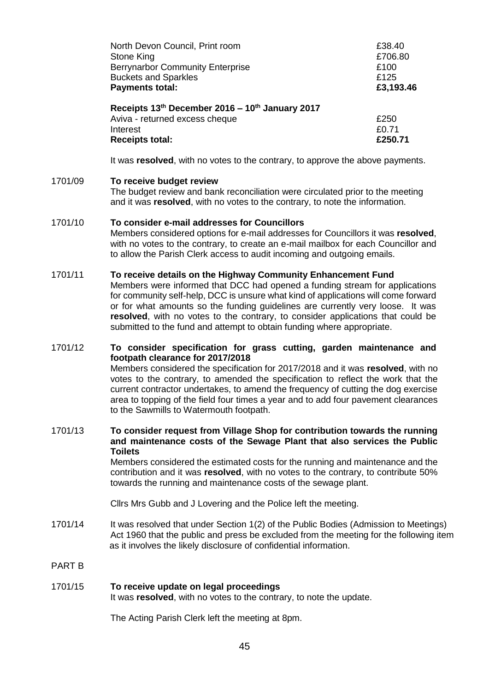| North Devon Council, Print room                 | £38.40    |
|-------------------------------------------------|-----------|
| Stone King                                      | £706.80   |
| <b>Berrynarbor Community Enterprise</b>         | £100      |
| <b>Buckets and Sparkles</b>                     | £125      |
| <b>Payments total:</b>                          | £3,193.46 |
| Receipts 13th December 2016 - 10th January 2017 |           |
| Aviva - returned excess cheque                  | £250      |
| Interest                                        | £0.71     |
|                                                 |           |

It was **resolved**, with no votes to the contrary, to approve the above payments.

#### 1701/09 **To receive budget review**

The budget review and bank reconciliation were circulated prior to the meeting and it was **resolved**, with no votes to the contrary, to note the information.

## 1701/10 **To consider e-mail addresses for Councillors**

Members considered options for e-mail addresses for Councillors it was **resolved**, with no votes to the contrary, to create an e-mail mailbox for each Councillor and to allow the Parish Clerk access to audit incoming and outgoing emails.

#### 1701/11 **To receive details on the Highway Community Enhancement Fund**

Members were informed that DCC had opened a funding stream for applications for community self-help, DCC is unsure what kind of applications will come forward or for what amounts so the funding guidelines are currently very loose. It was resolved, with no votes to the contrary, to consider applications that could be submitted to the fund and attempt to obtain funding where appropriate.

## 1701/12 **To consider specification for grass cutting, garden maintenance and footpath clearance for 2017/2018** Members considered the specification for 2017/2018 and it was **resolved**, with no votes to the contrary, to amended the specification to reflect the work that the current contractor undertakes, to amend the frequency of cutting the dog exercise area to topping of the field four times a year and to add four pavement clearances to the Sawmills to Watermouth footpath.

# 1701/13 **To consider request from Village Shop for contribution towards the running and maintenance costs of the Sewage Plant that also services the Public Toilets**

Members considered the estimated costs for the running and maintenance and the contribution and it was **resolved**, with no votes to the contrary, to contribute 50% towards the running and maintenance costs of the sewage plant.

Cllrs Mrs Gubb and J Lovering and the Police left the meeting.

1701/14 It was resolved that under Section 1(2) of the Public Bodies (Admission to Meetings) Act 1960 that the public and press be excluded from the meeting for the following item as it involves the likely disclosure of confidential information.

## PART B

## 1701/15 **To receive update on legal proceedings**

It was **resolved**, with no votes to the contrary, to note the update.

The Acting Parish Clerk left the meeting at 8pm.